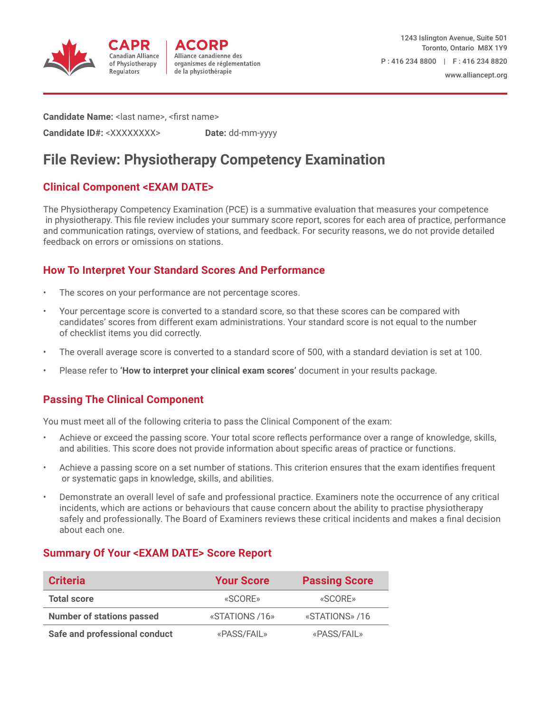



**Candidate Name:** < last name>, <first name>

**Candidate ID#:** <XXXXXXXX> **Date:** dd-mm-yyyy

# **File Review: Physiotherapy Competency Examination**

## **Clinical Component <EXAM DATE>**

The Physiotherapy Competency Examination (PCE) is a summative evaluation that measures your competence in physiotherapy. This file review includes your summary score report, scores for each area of practice, performance and communication ratings, overview of stations, and feedback. For security reasons, we do not provide detailed feedback on errors or omissions on stations.

## **How To Interpret Your Standard Scores And Performance**

- The scores on your performance are not percentage scores.
- Your percentage score is converted to a standard score, so that these scores can be compared with candidates' scores from different exam administrations. Your standard score is not equal to the number of checklist items you did correctly.
- The overall average score is converted to a standard score of 500, with a standard deviation is set at 100.
- Please refer to **'How to interpret your clinical exam scores'** document in your results package.

## **Passing The Clinical Component**

You must meet all of the following criteria to pass the Clinical Component of the exam:

- Achieve or exceed the passing score. Your total score reflects performance over a range of knowledge, skills, and abilities. This score does not provide information about specific areas of practice or functions.
- Achieve a passing score on a set number of stations. This criterion ensures that the exam identifies frequent or systematic gaps in knowledge, skills, and abilities.
- Demonstrate an overall level of safe and professional practice. Examiners note the occurrence of any critical incidents, which are actions or behaviours that cause concern about the ability to practise physiotherapy safely and professionally. The Board of Examiners reviews these critical incidents and makes a final decision about each one.

### **Summary Of Your <EXAM DATE> Score Report**

| <b>Criteria</b>                  | <b>Your Score</b> | <b>Passing Score</b> |
|----------------------------------|-------------------|----------------------|
| <b>Total score</b>               | «SCORE»           | «SCORE»              |
| <b>Number of stations passed</b> | «STATIONS /16»    | «STATIONS» /16       |
| Safe and professional conduct    | «PASS/FAIL»       | «PASS/FAIL»          |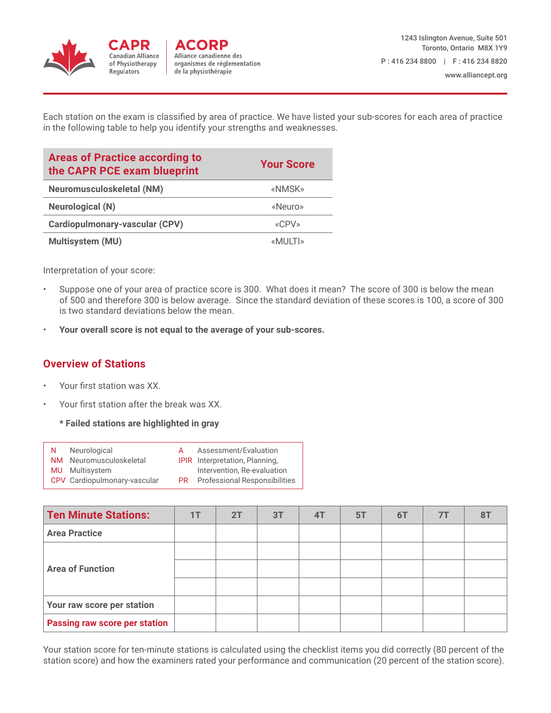

Each station on the exam is classified by area of practice. We have listed your sub-scores for each area of practice in the following table to help you identify your strengths and weaknesses.

| <b>Areas of Practice according to</b><br>the CAPR PCE exam blueprint | <b>Your Score</b> |
|----------------------------------------------------------------------|-------------------|
| Neuromusculoskeletal (NM)                                            | «NMSK»            |
| <b>Neurological (N)</b>                                              | «Neuro»           |
| Cardiopulmonary-vascular (CPV)                                       | «CPV»             |
| Multisystem (MU)                                                     | «MULTI»           |

Interpretation of your score:

- Suppose one of your area of practice score is 300. What does it mean? The score of 300 is below the mean of 500 and therefore 300 is below average. Since the standard deviation of these scores is 100, a score of 300 is two standard deviations below the mean.
- **Your overall score is not equal to the average of your sub-scores.**

### **Overview of Stations**

- Your first station was XX.
- Your first station after the break was XX.
	- **\* Failed stations are highlighted in gray**

| N. | Neurological                 | A | Assessment/Evaluation                   |
|----|------------------------------|---|-----------------------------------------|
|    | NM Neuromusculoskeletal      |   | <b>IPIR</b> Interpretation, Planning,   |
|    | <b>MU</b> Multisystem        |   | Intervention, Re-evaluation             |
|    | CPV Cardiopulmonary-vascular |   | <b>PR</b> Professional Responsibilities |

| <b>Ten Minute Stations:</b>          | 1T | 2T | 3T | 4T | 5T | 6T | 7T |  |
|--------------------------------------|----|----|----|----|----|----|----|--|
| <b>Area Practice</b>                 |    |    |    |    |    |    |    |  |
| <b>Area of Function</b>              |    |    |    |    |    |    |    |  |
|                                      |    |    |    |    |    |    |    |  |
|                                      |    |    |    |    |    |    |    |  |
| Your raw score per station           |    |    |    |    |    |    |    |  |
| <b>Passing raw score per station</b> |    |    |    |    |    |    |    |  |

Your station score for ten-minute stations is calculated using the checklist items you did correctly (80 percent of the station score) and how the examiners rated your performance and communication (20 percent of the station score).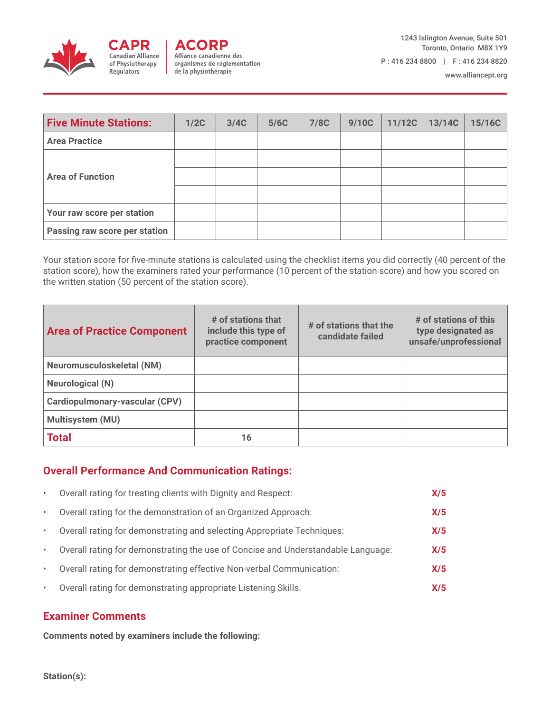

www.alliancept.org

| <b>Five Minute Stations:</b>  | 1/2C | 3/4C | 5/6C | 7/8C | 9/10C | 11/12C | 13/14C | 15/16C |
|-------------------------------|------|------|------|------|-------|--------|--------|--------|
| <b>Area Practice</b>          |      |      |      |      |       |        |        |        |
| <b>Area of Function</b>       |      |      |      |      |       |        |        |        |
|                               |      |      |      |      |       |        |        |        |
|                               |      |      |      |      |       |        |        |        |
| Your raw score per station    |      |      |      |      |       |        |        |        |
| Passing raw score per station |      |      |      |      |       |        |        |        |

Your station score for five-minute stations is calculated using the checklist items you did correctly (40 percent of the station score), how the examiners rated your performance (10 percent of the station score) and how you scored on the written station (50 percent of the station score).

| <b>Area of Practice Component</b> | # of stations that<br>include this type of<br>practice component | # of stations that the<br>candidate failed | # of stations of this<br>type designated as<br>unsafe/unprofessional |
|-----------------------------------|------------------------------------------------------------------|--------------------------------------------|----------------------------------------------------------------------|
| <b>Neuromusculoskeletal (NM)</b>  |                                                                  |                                            |                                                                      |
| <b>Neurological (N)</b>           |                                                                  |                                            |                                                                      |
| Cardiopulmonary-vascular (CPV)    |                                                                  |                                            |                                                                      |
| <b>Multisystem (MU)</b>           |                                                                  |                                            |                                                                      |
| <b>Total</b>                      | 16                                                               |                                            |                                                                      |

### **Overall Performance And Communication Ratings:**

| $\bullet$ | Overall rating for treating clients with Dignity and Respect:                    | X/5 |
|-----------|----------------------------------------------------------------------------------|-----|
| $\bullet$ | Overall rating for the demonstration of an Organized Approach:                   | X/5 |
| $\bullet$ | Overall rating for demonstrating and selecting Appropriate Techniques:           | X/5 |
| $\bullet$ | Overall rating for demonstrating the use of Concise and Understandable Language: | X/5 |
| $\bullet$ | Overall rating for demonstrating effective Non-verbal Communication:             | X/5 |
| $\bullet$ | Overall rating for demonstrating appropriate Listening Skills.                   | X/5 |

### **Examiner Comments**

**Comments noted by examiners include the following:**